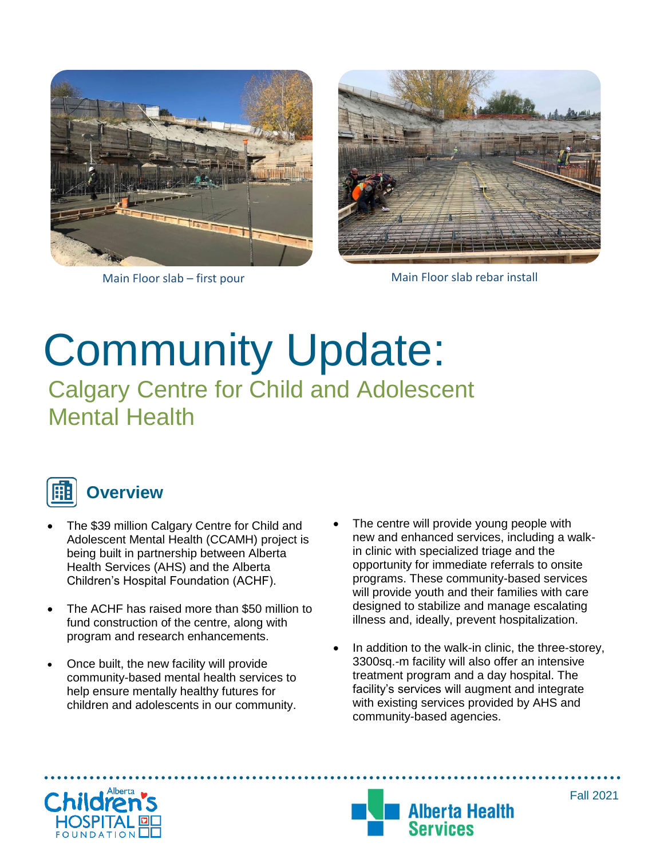



Main Floor slab – first pour Main Floor slab rebar install

## Community Update: Calgary Centre for Child and Adolescent Mental Health



- The \$39 million Calgary Centre for Child and Adolescent Mental Health (CCAMH) project is being built in partnership between Alberta Health Services (AHS) and the Alberta Children's Hospital Foundation (ACHF).
- The ACHF has raised more than \$50 million to fund construction of the centre, along with program and research enhancements.
- Once built, the new facility will provide community-based mental health services to help ensure mentally healthy futures for children and adolescents in our community.
- The centre will provide young people with new and enhanced services, including a walkin clinic with specialized triage and the opportunity for immediate referrals to onsite programs. These community-based services will provide youth and their families with care designed to stabilize and manage escalating illness and, ideally, prevent hospitalization.
- In addition to the walk-in clinic, the three-storey, 3300sq.-m facility will also offer an intensive treatment program and a day hospital. The facility's services will augment and integrate with existing services provided by AHS and community-based agencies.